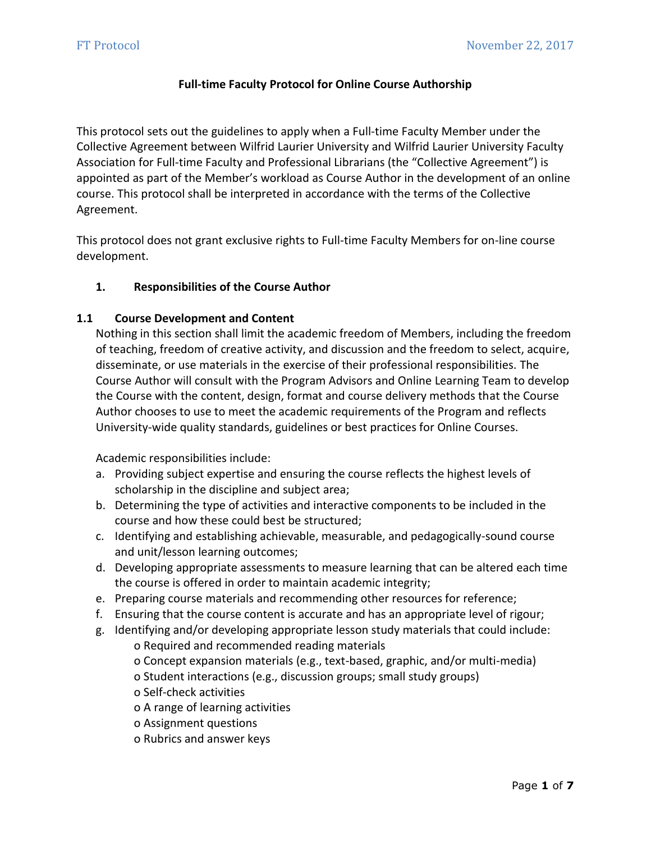# **Full-time Faculty Protocol for Online Course Authorship**

This protocol sets out the guidelines to apply when a Full-time Faculty Member under the Collective Agreement between Wilfrid Laurier University and Wilfrid Laurier University Faculty Association for Full-time Faculty and Professional Librarians (the "Collective Agreement") is appointed as part of the Member's workload as Course Author in the development of an online course. This protocol shall be interpreted in accordance with the terms of the Collective Agreement.

This protocol does not grant exclusive rights to Full-time Faculty Members for on-line course development.

# **1. Responsibilities of the Course Author**

## **1.1 Course Development and Content**

Nothing in this section shall limit the academic freedom of Members, including the freedom of teaching, freedom of creative activity, and discussion and the freedom to select, acquire, disseminate, or use materials in the exercise of their professional responsibilities. The Course Author will consult with the Program Advisors and Online Learning Team to develop the Course with the content, design, format and course delivery methods that the Course Author chooses to use to meet the academic requirements of the Program and reflects University-wide quality standards, guidelines or best practices for Online Courses.

Academic responsibilities include:

- a. Providing subject expertise and ensuring the course reflects the highest levels of scholarship in the discipline and subject area;
- b. Determining the type of activities and interactive components to be included in the course and how these could best be structured;
- c. Identifying and establishing achievable, measurable, and pedagogically-sound course and unit/lesson learning outcomes;
- d. Developing appropriate assessments to measure learning that can be altered each time the course is offered in order to maintain academic integrity;
- e. Preparing course materials and recommending other resources for reference;
- f. Ensuring that the course content is accurate and has an appropriate level of rigour;
- g. Identifying and/or developing appropriate lesson study materials that could include: o Required and recommended reading materials
	- o Concept expansion materials (e.g., text-based, graphic, and/or multi-media)
	- o Student interactions (e.g., discussion groups; small study groups)
	- o Self-check activities
	- o A range of learning activities
	- o Assignment questions
	- o Rubrics and answer keys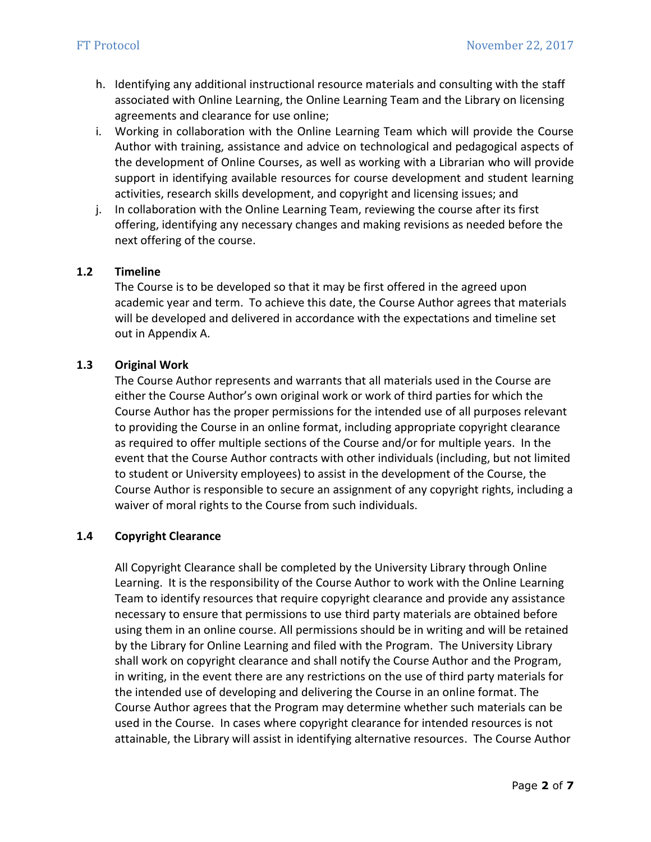- h. Identifying any additional instructional resource materials and consulting with the staff associated with Online Learning, the Online Learning Team and the Library on licensing agreements and clearance for use online;
- i. Working in collaboration with the Online Learning Team which will provide the Course Author with training, assistance and advice on technological and pedagogical aspects of the development of Online Courses, as well as working with a Librarian who will provide support in identifying available resources for course development and student learning activities, research skills development, and copyright and licensing issues; and
- j. In collaboration with the Online Learning Team, reviewing the course after its first offering, identifying any necessary changes and making revisions as needed before the next offering of the course.

## **1.2 Timeline**

The Course is to be developed so that it may be first offered in the agreed upon academic year and term. To achieve this date, the Course Author agrees that materials will be developed and delivered in accordance with the expectations and timeline set out in Appendix A.

## **1.3 Original Work**

The Course Author represents and warrants that all materials used in the Course are either the Course Author's own original work or work of third parties for which the Course Author has the proper permissions for the intended use of all purposes relevant to providing the Course in an online format, including appropriate copyright clearance as required to offer multiple sections of the Course and/or for multiple years. In the event that the Course Author contracts with other individuals (including, but not limited to student or University employees) to assist in the development of the Course, the Course Author is responsible to secure an assignment of any copyright rights, including a waiver of moral rights to the Course from such individuals.

#### **1.4 Copyright Clearance**

All Copyright Clearance shall be completed by the University Library through Online Learning. It is the responsibility of the Course Author to work with the Online Learning Team to identify resources that require copyright clearance and provide any assistance necessary to ensure that permissions to use third party materials are obtained before using them in an online course. All permissions should be in writing and will be retained by the Library for Online Learning and filed with the Program. The University Library shall work on copyright clearance and shall notify the Course Author and the Program, in writing, in the event there are any restrictions on the use of third party materials for the intended use of developing and delivering the Course in an online format. The Course Author agrees that the Program may determine whether such materials can be used in the Course. In cases where copyright clearance for intended resources is not attainable, the Library will assist in identifying alternative resources. The Course Author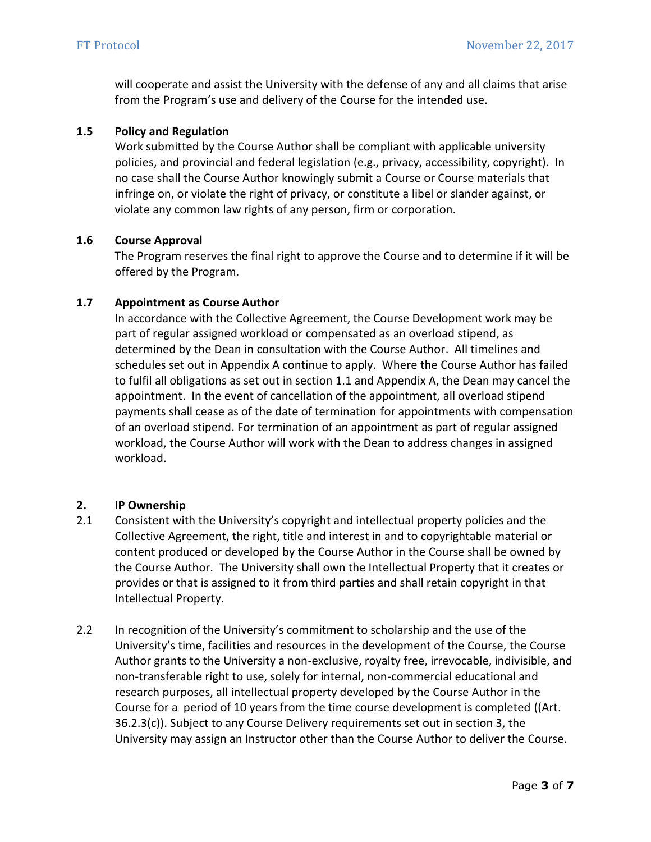will cooperate and assist the University with the defense of any and all claims that arise from the Program's use and delivery of the Course for the intended use.

## **1.5 Policy and Regulation**

Work submitted by the Course Author shall be compliant with applicable university policies, and provincial and federal legislation (e.g., privacy, accessibility, copyright). In no case shall the Course Author knowingly submit a Course or Course materials that infringe on, or violate the right of privacy, or constitute a libel or slander against, or violate any common law rights of any person, firm or corporation.

## **1.6 Course Approval**

The Program reserves the final right to approve the Course and to determine if it will be offered by the Program.

### **1.7 Appointment as Course Author**

In accordance with the Collective Agreement, the Course Development work may be part of regular assigned workload or compensated as an overload stipend, as determined by the Dean in consultation with the Course Author. All timelines and schedules set out in Appendix A continue to apply. Where the Course Author has failed to fulfil all obligations as set out in section 1.1 and Appendix A, the Dean may cancel the appointment. In the event of cancellation of the appointment, all overload stipend payments shall cease as of the date of termination for appointments with compensation of an overload stipend. For termination of an appointment as part of regular assigned workload, the Course Author will work with the Dean to address changes in assigned workload.

## **2. IP Ownership**

- 2.1 Consistent with the University's copyright and intellectual property policies and the Collective Agreement, the right, title and interest in and to copyrightable material or content produced or developed by the Course Author in the Course shall be owned by the Course Author. The University shall own the Intellectual Property that it creates or provides or that is assigned to it from third parties and shall retain copyright in that Intellectual Property.
- 2.2 In recognition of the University's commitment to scholarship and the use of the University's time, facilities and resources in the development of the Course, the Course Author grants to the University a non-exclusive, royalty free, irrevocable, indivisible, and non-transferable right to use, solely for internal, non-commercial educational and research purposes, all intellectual property developed by the Course Author in the Course for a period of 10 years from the time course development is completed ((Art. 36.2.3(c)). Subject to any Course Delivery requirements set out in section 3, the University may assign an Instructor other than the Course Author to deliver the Course.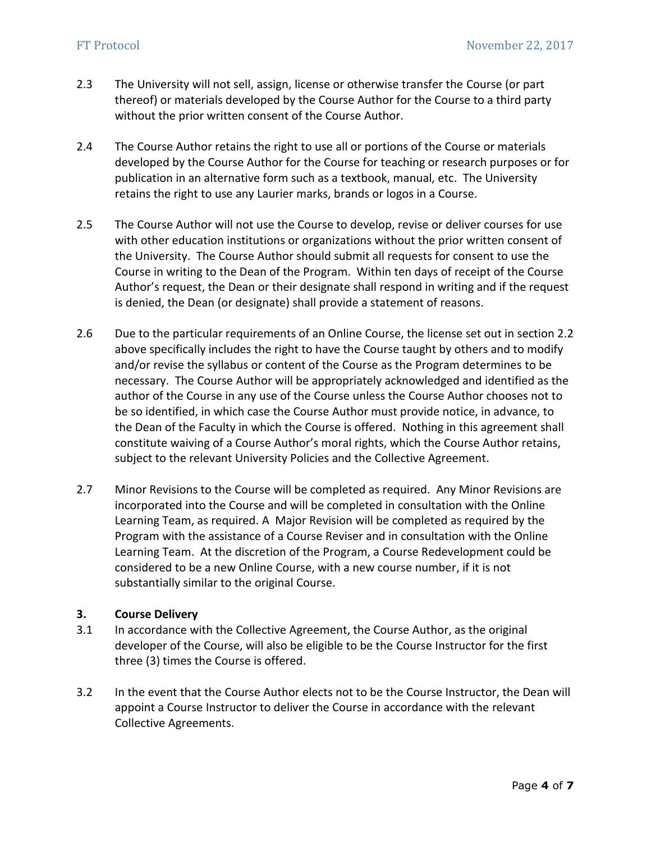- 2.3 The University will not sell, assign, license or otherwise transfer the Course (or part thereof) or materials developed by the Course Author for the Course to a third party without the prior written consent of the Course Author.
- 2.4 The Course Author retains the right to use all or portions of the Course or materials developed by the Course Author for the Course for teaching or research purposes or for publication in an alternative form such as a textbook, manual, etc. The University retains the right to use any Laurier marks, brands or logos in a Course.
- 2.5 The Course Author will not use the Course to develop, revise or deliver courses for use with other education institutions or organizations without the prior written consent of the University. The Course Author should submit all requests for consent to use the Course in writing to the Dean of the Program. Within ten days of receipt of the Course Author's request, the Dean or their designate shall respond in writing and if the request is denied, the Dean (or designate) shall provide a statement of reasons.
- 2.6 Due to the particular requirements of an Online Course, the license set out in section 2.2 above specifically includes the right to have the Course taught by others and to modify and/or revise the syllabus or content of the Course as the Program determines to be necessary. The Course Author will be appropriately acknowledged and identified as the author of the Course in any use of the Course unless the Course Author chooses not to be so identified, in which case the Course Author must provide notice, in advance, to the Dean of the Faculty in which the Course is offered. Nothing in this agreement shall constitute waiving of a Course Author's moral rights, which the Course Author retains, subject to the relevant University Policies and the Collective Agreement.
- 2.7 Minor Revisions to the Course will be completed as required. Any Minor Revisions are incorporated into the Course and will be completed in consultation with the Online Learning Team, as required. A Major Revision will be completed as required by the Program with the assistance of a Course Reviser and in consultation with the Online Learning Team. At the discretion of the Program, a Course Redevelopment could be considered to be a new Online Course, with a new course number, if it is not substantially similar to the original Course.

## **3. Course Delivery**

- 3.1 In accordance with the Collective Agreement, the Course Author, as the original developer of the Course, will also be eligible to be the Course Instructor for the first three (3) times the Course is offered.
- 3.2 In the event that the Course Author elects not to be the Course Instructor, the Dean will appoint a Course Instructor to deliver the Course in accordance with the relevant Collective Agreements.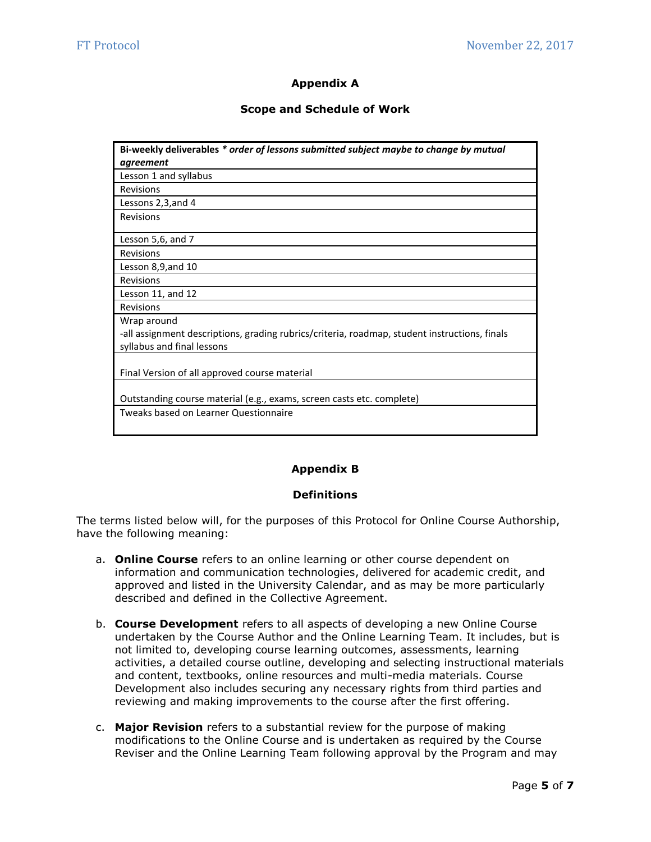## **Appendix A**

#### **Scope and Schedule of Work**

| Bi-weekly deliverables * order of lessons submitted subject maybe to change by mutual         |
|-----------------------------------------------------------------------------------------------|
| agreement                                                                                     |
| Lesson 1 and syllabus                                                                         |
| Revisions                                                                                     |
| Lessons 2,3, and 4                                                                            |
| Revisions                                                                                     |
| Lesson 5,6, and 7                                                                             |
| Revisions                                                                                     |
| Lesson 8,9, and 10                                                                            |
| <b>Revisions</b>                                                                              |
| Lesson 11, and 12                                                                             |
| Revisions                                                                                     |
| Wrap around                                                                                   |
| -all assignment descriptions, grading rubrics/criteria, roadmap, student instructions, finals |
| syllabus and final lessons                                                                    |
| Final Version of all approved course material                                                 |
|                                                                                               |
| Outstanding course material (e.g., exams, screen casts etc. complete)                         |
| Tweaks based on Learner Questionnaire                                                         |

#### **Appendix B**

#### **Definitions**

The terms listed below will, for the purposes of this Protocol for Online Course Authorship, have the following meaning:

- a. **Online Course** refers to an online learning or other course dependent on information and communication technologies, delivered for academic credit, and approved and listed in the University Calendar, and as may be more particularly described and defined in the Collective Agreement.
- b. **Course Development** refers to all aspects of developing a new Online Course undertaken by the Course Author and the Online Learning Team. It includes, but is not limited to, developing course learning outcomes, assessments, learning activities, a detailed course outline, developing and selecting instructional materials and content, textbooks, online resources and multi-media materials. Course Development also includes securing any necessary rights from third parties and reviewing and making improvements to the course after the first offering.
- c. **Major Revision** refers to a substantial review for the purpose of making modifications to the Online Course and is undertaken as required by the Course Reviser and the Online Learning Team following approval by the Program and may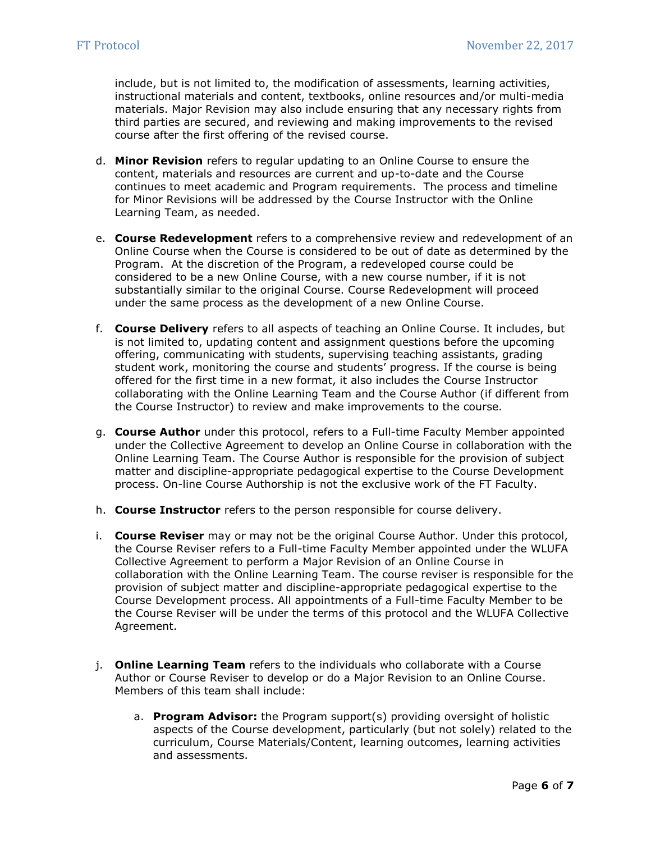include, but is not limited to, the modification of assessments, learning activities, instructional materials and content, textbooks, online resources and/or multi-media materials. Major Revision may also include ensuring that any necessary rights from third parties are secured, and reviewing and making improvements to the revised course after the first offering of the revised course.

- d. **Minor Revision** refers to regular updating to an Online Course to ensure the content, materials and resources are current and up-to-date and the Course continues to meet academic and Program requirements. The process and timeline for Minor Revisions will be addressed by the Course Instructor with the Online Learning Team, as needed.
- e. **Course Redevelopment** refers to a comprehensive review and redevelopment of an Online Course when the Course is considered to be out of date as determined by the Program. At the discretion of the Program, a redeveloped course could be considered to be a new Online Course, with a new course number, if it is not substantially similar to the original Course. Course Redevelopment will proceed under the same process as the development of a new Online Course.
- f. **Course Delivery** refers to all aspects of teaching an Online Course. It includes, but is not limited to, updating content and assignment questions before the upcoming offering, communicating with students, supervising teaching assistants, grading student work, monitoring the course and students' progress. If the course is being offered for the first time in a new format, it also includes the Course Instructor collaborating with the Online Learning Team and the Course Author (if different from the Course Instructor) to review and make improvements to the course.
- g. **Course Author** under this protocol, refers to a Full-time Faculty Member appointed under the Collective Agreement to develop an Online Course in collaboration with the Online Learning Team. The Course Author is responsible for the provision of subject matter and discipline-appropriate pedagogical expertise to the Course Development process. On-line Course Authorship is not the exclusive work of the FT Faculty.
- h. **Course Instructor** refers to the person responsible for course delivery.
- i. **Course Reviser** may or may not be the original Course Author. Under this protocol, the Course Reviser refers to a Full-time Faculty Member appointed under the WLUFA Collective Agreement to perform a Major Revision of an Online Course in collaboration with the Online Learning Team. The course reviser is responsible for the provision of subject matter and discipline-appropriate pedagogical expertise to the Course Development process. All appointments of a Full-time Faculty Member to be the Course Reviser will be under the terms of this protocol and the WLUFA Collective Agreement.
- j. **Online Learning Team** refers to the individuals who collaborate with a Course Author or Course Reviser to develop or do a Major Revision to an Online Course. Members of this team shall include:
	- a. **Program Advisor:** the Program support(s) providing oversight of holistic aspects of the Course development, particularly (but not solely) related to the curriculum, Course Materials/Content, learning outcomes, learning activities and assessments.